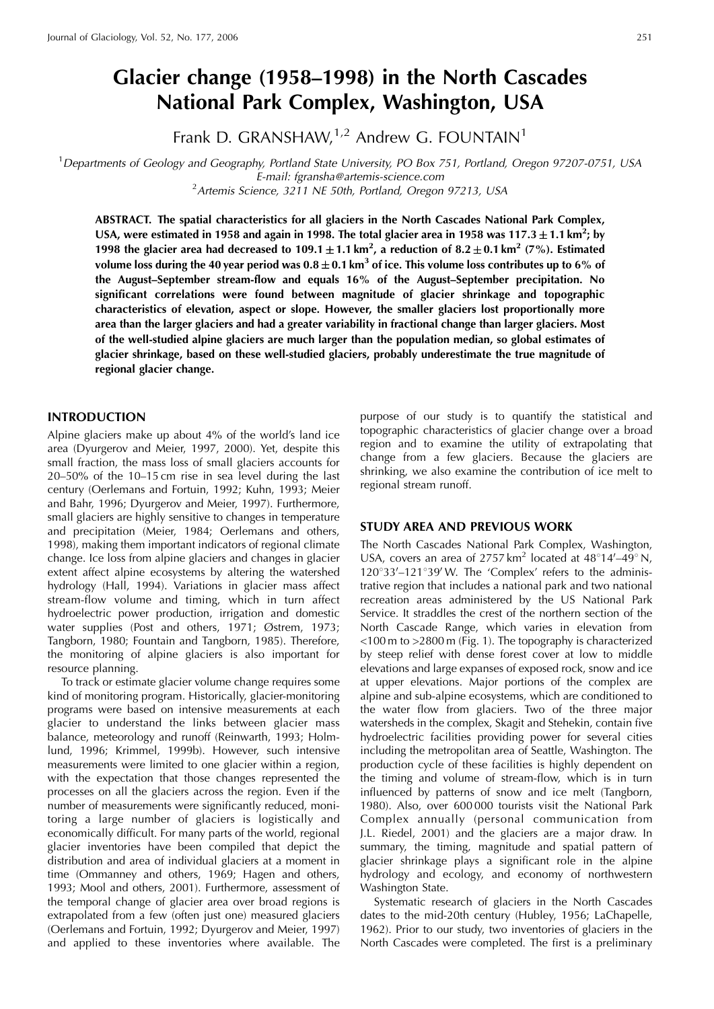# **Glacier change (1958–1998) in the North Cascades National Park Complex, Washington, USA**

Frank D. GRANSHAW, $1,2$  Andrew G. FOUNTAIN<sup>1</sup>

<sup>1</sup>Departments of Geology and Geography, Portland State University, PO Box 751, Portland, Oregon 97207-0751, USA E-mail: fgransha@artemis-science.com <sup>2</sup> Artemis Science, 3211 NE 50th, Portland, Oregon 97213, USA

**ABSTRACT. The spatial characteristics for all glaciers in the North Cascades National Park Complex,** USA, were estimated in 1958 and again in 1998. The total glacier area in 1958 was 117.3  $\pm$  1.1 km<sup>2</sup>; by **1998 the glacier area had decreased to 109.1**  $\pm$  **1.1 km<sup>2</sup>, a reduction of 8.2**  $\pm$  **0.1 km<sup>2</sup> (7%). Estimated** volume loss during the 40 year period was  $0.8 \pm 0.1$  km<sup>3</sup> of ice. This volume loss contributes up to 6% of **the August–September stream-flow and equals 16% of the August–September precipitation. No significant correlations were found between magnitude of glacier shrinkage and topographic characteristics of elevation, aspect or slope. However, the smaller glaciers lost proportionally more area than the larger glaciers and had a greater variability in fractional change than larger glaciers. Most of the well-studied alpine glaciers are much larger than the population median, so global estimates of glacier shrinkage, based on these well-studied glaciers, probably underestimate the true magnitude of regional glacier change.**

## **INTRODUCTION**

Alpine glaciers make up about 4% of the world's land ice area (Dyurgerov and Meier, 1997, 2000). Yet, despite this small fraction, the mass loss of small glaciers accounts for 20–50% of the 10–15 cm rise in sea level during the last century (Oerlemans and Fortuin, 1992; Kuhn, 1993; Meier and Bahr, 1996; Dyurgerov and Meier, 1997). Furthermore, small glaciers are highly sensitive to changes in temperature and precipitation (Meier, 1984; Oerlemans and others, 1998), making them important indicators of regional climate change. Ice loss from alpine glaciers and changes in glacier extent affect alpine ecosystems by altering the watershed hydrology (Hall, 1994). Variations in glacier mass affect stream-flow volume and timing, which in turn affect hydroelectric power production, irrigation and domestic water supplies (Post and others, 1971; Østrem, 1973; Tangborn, 1980; Fountain and Tangborn, 1985). Therefore, the monitoring of alpine glaciers is also important for resource planning.

To track or estimate glacier volume change requires some kind of monitoring program. Historically, glacier-monitoring programs were based on intensive measurements at each glacier to understand the links between glacier mass balance, meteorology and runoff (Reinwarth, 1993; Holmlund, 1996; Krimmel, 1999b). However, such intensive measurements were limited to one glacier within a region, with the expectation that those changes represented the processes on all the glaciers across the region. Even if the number of measurements were significantly reduced, monitoring a large number of glaciers is logistically and economically difficult. For many parts of the world, regional glacier inventories have been compiled that depict the distribution and area of individual glaciers at a moment in time (Ommanney and others, 1969; Hagen and others, 1993; Mool and others, 2001). Furthermore, assessment of the temporal change of glacier area over broad regions is extrapolated from a few (often just one) measured glaciers (Oerlemans and Fortuin, 1992; Dyurgerov and Meier, 1997) and applied to these inventories where available. The purpose of our study is to quantify the statistical and topographic characteristics of glacier change over a broad region and to examine the utility of extrapolating that change from a few glaciers. Because the glaciers are shrinking, we also examine the contribution of ice melt to regional stream runoff.

### **STUDY AREA AND PREVIOUS WORK**

The North Cascades National Park Complex, Washington, USA, covers an area of 2757 km<sup>2</sup> located at 48°14'-49° N, 120°33'-121°39' W. The 'Complex' refers to the administrative region that includes a national park and two national recreation areas administered by the US National Park Service. It straddles the crest of the northern section of the North Cascade Range, which varies in elevation from <100 m to >2800 m (Fig. 1). The topography is characterized by steep relief with dense forest cover at low to middle elevations and large expanses of exposed rock, snow and ice at upper elevations. Major portions of the complex are alpine and sub-alpine ecosystems, which are conditioned to the water flow from glaciers. Two of the three major watersheds in the complex, Skagit and Stehekin, contain five hydroelectric facilities providing power for several cities including the metropolitan area of Seattle, Washington. The production cycle of these facilities is highly dependent on the timing and volume of stream-flow, which is in turn influenced by patterns of snow and ice melt (Tangborn, 1980). Also, over 600 000 tourists visit the National Park Complex annually (personal communication from J.L. Riedel, 2001) and the glaciers are a major draw. In summary, the timing, magnitude and spatial pattern of glacier shrinkage plays a significant role in the alpine hydrology and ecology, and economy of northwestern Washington State.

Systematic research of glaciers in the North Cascades dates to the mid-20th century (Hubley, 1956; LaChapelle, 1962). Prior to our study, two inventories of glaciers in the North Cascades were completed. The first is a preliminary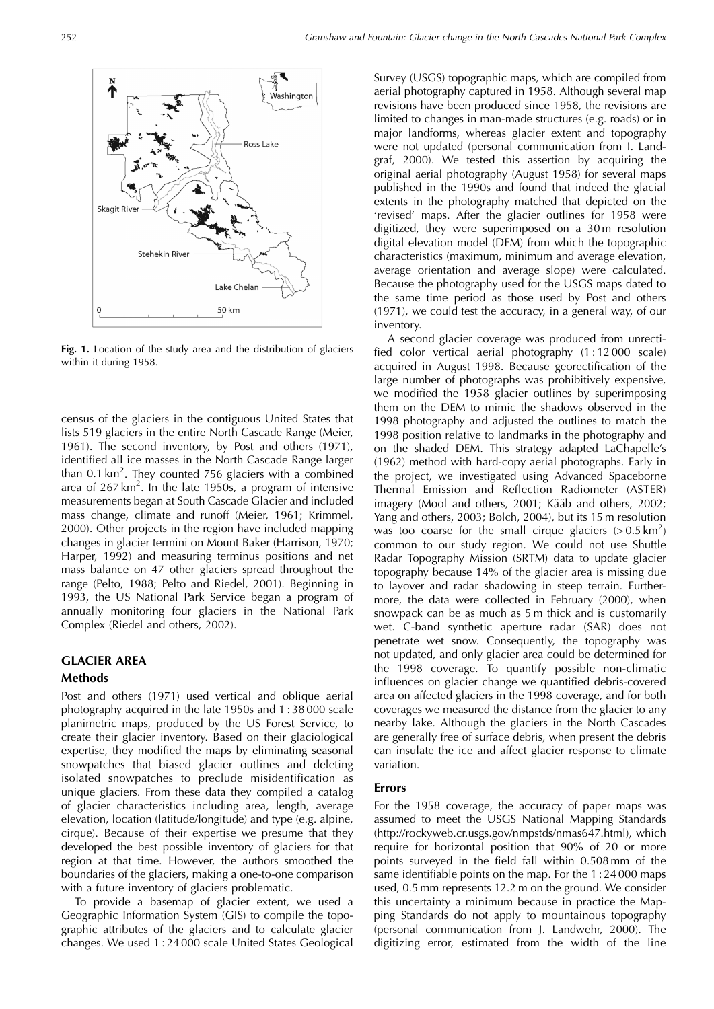

Fig. 1. Location of the study area and the distribution of glaciers within it during 1958.

census of the glaciers in the contiguous United States that lists 519 glaciers in the entire North Cascade Range (Meier, 1961). The second inventory, by Post and others (1971), identified all ice masses in the North Cascade Range larger than 0.1 km<sup>2</sup>. They counted 756 glaciers with a combined area of  $267 \text{ km}^2$ . In the late 1950s, a program of intensive measurements began at South Cascade Glacier and included mass change, climate and runoff (Meier, 1961; Krimmel, 2000). Other projects in the region have included mapping changes in glacier termini on Mount Baker (Harrison, 1970; Harper, 1992) and measuring terminus positions and net mass balance on 47 other glaciers spread throughout the range (Pelto, 1988; Pelto and Riedel, 2001). Beginning in 1993, the US National Park Service began a program of annually monitoring four glaciers in the National Park Complex (Riedel and others, 2002).

## **GLACIER AREA**

## **Methods**

Post and others (1971) used vertical and oblique aerial photography acquired in the late 1950s and 1 : 38 000 scale planimetric maps, produced by the US Forest Service, to create their glacier inventory. Based on their glaciological expertise, they modified the maps by eliminating seasonal snowpatches that biased glacier outlines and deleting isolated snowpatches to preclude misidentification as unique glaciers. From these data they compiled a catalog of glacier characteristics including area, length, average elevation, location (latitude/longitude) and type (e.g. alpine, cirque). Because of their expertise we presume that they developed the best possible inventory of glaciers for that region at that time. However, the authors smoothed the boundaries of the glaciers, making a one-to-one comparison with a future inventory of glaciers problematic.

To provide a basemap of glacier extent, we used a Geographic Information System (GIS) to compile the topographic attributes of the glaciers and to calculate glacier changes. We used 1 : 24 000 scale United States Geological

Survey (USGS) topographic maps, which are compiled from aerial photography captured in 1958. Although several map revisions have been produced since 1958, the revisions are limited to changes in man-made structures (e.g. roads) or in major landforms, whereas glacier extent and topography were not updated (personal communication from I. Landgraf, 2000). We tested this assertion by acquiring the original aerial photography (August 1958) for several maps published in the 1990s and found that indeed the glacial extents in the photography matched that depicted on the 'revised' maps. After the glacier outlines for 1958 were digitized, they were superimposed on a 30 m resolution digital elevation model (DEM) from which the topographic characteristics (maximum, minimum and average elevation, average orientation and average slope) were calculated. Because the photography used for the USGS maps dated to the same time period as those used by Post and others (1971), we could test the accuracy, in a general way, of our inventory.

A second glacier coverage was produced from unrectified color vertical aerial photography (1 : 12 000 scale) acquired in August 1998. Because georectification of the large number of photographs was prohibitively expensive, we modified the 1958 glacier outlines by superimposing them on the DEM to mimic the shadows observed in the 1998 photography and adjusted the outlines to match the 1998 position relative to landmarks in the photography and on the shaded DEM. This strategy adapted LaChapelle's (1962) method with hard-copy aerial photographs. Early in the project, we investigated using Advanced Spaceborne Thermal Emission and Reflection Radiometer (ASTER) imagery (Mool and others, 2001; Kääb and others, 2002; Yang and others, 2003; Bolch, 2004), but its 15 m resolution was too coarse for the small cirque glaciers  $(> 0.5 \text{ km}^2)$ common to our study region. We could not use Shuttle Radar Topography Mission (SRTM) data to update glacier topography because 14% of the glacier area is missing due to layover and radar shadowing in steep terrain. Furthermore, the data were collected in February (2000), when snowpack can be as much as 5 m thick and is customarily wet. C-band synthetic aperture radar (SAR) does not penetrate wet snow. Consequently, the topography was not updated, and only glacier area could be determined for the 1998 coverage. To quantify possible non-climatic influences on glacier change we quantified debris-covered area on affected glaciers in the 1998 coverage, and for both coverages we measured the distance from the glacier to any nearby lake. Although the glaciers in the North Cascades are generally free of surface debris, when present the debris can insulate the ice and affect glacier response to climate variation.

#### **Errors**

For the 1958 coverage, the accuracy of paper maps was assumed to meet the USGS National Mapping Standards (http://rockyweb.cr.usgs.gov/nmpstds/nmas647.html), which require for horizontal position that 90% of 20 or more points surveyed in the field fall within 0.508 mm of the same identifiable points on the map. For the 1 : 24 000 maps used, 0.5 mm represents 12.2 m on the ground. We consider this uncertainty a minimum because in practice the Mapping Standards do not apply to mountainous topography (personal communication from J. Landwehr, 2000). The digitizing error, estimated from the width of the line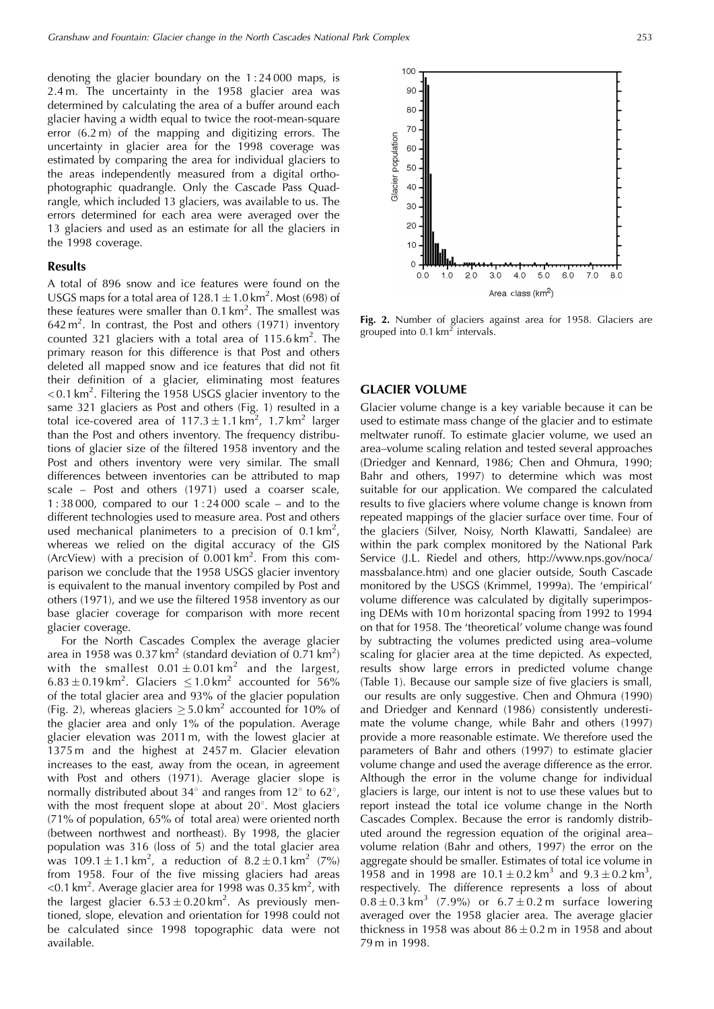denoting the glacier boundary on the 1 : 24 000 maps, is 2.4 m. The uncertainty in the 1958 glacier area was determined by calculating the area of a buffer around each glacier having a width equal to twice the root-mean-square error (6.2 m) of the mapping and digitizing errors. The uncertainty in glacier area for the 1998 coverage was estimated by comparing the area for individual glaciers to the areas independently measured from a digital orthophotographic quadrangle. Only the Cascade Pass Quadrangle, which included 13 glaciers, was available to us. The errors determined for each area were averaged over the 13 glaciers and used as an estimate for all the glaciers in the 1998 coverage.

#### **Results**

A total of 896 snow and ice features were found on the USGS maps for a total area of  $128.1 \pm 1.0$  km<sup>2</sup>. Most (698) of these features were smaller than  $0.1 \text{ km}^2$ . The smallest was  $642 \text{ m}^2$ . In contrast, the Post and others (1971) inventory counted 321 glaciers with a total area of  $115.6 \text{ km}^2$ . The primary reason for this difference is that Post and others deleted all mapped snow and ice features that did not fit their definition of a glacier, eliminating most features  $<$  0.1 km<sup>2</sup>. Filtering the 1958 USGS glacier inventory to the same 321 glaciers as Post and others (Fig. 1) resulted in a total ice-covered area of  $117.3 \pm 1.1 \text{ km}^2$ , 1.7 km<sup>2</sup> larger than the Post and others inventory. The frequency distributions of glacier size of the filtered 1958 inventory and the Post and others inventory were very similar. The small differences between inventories can be attributed to map scale – Post and others (1971) used a coarser scale, 1 : 38 000, compared to our 1 : 24 000 scale – and to the different technologies used to measure area. Post and others used mechanical planimeters to a precision of 0.1 km<sup>2</sup>, whereas we relied on the digital accuracy of the GIS (ArcView) with a precision of  $0.001 \text{ km}^2$ . From this comparison we conclude that the 1958 USGS glacier inventory is equivalent to the manual inventory compiled by Post and others (1971), and we use the filtered 1958 inventory as our base glacier coverage for comparison with more recent glacier coverage.

For the North Cascades Complex the average glacier area in 1958 was  $0.37 \text{ km}^2$  (standard deviation of  $0.71 \text{ km}^2$ ) with the smallest  $0.01 \pm 0.01 \text{ km}^2$  and the largest,  $6.83 \pm 0.19$  km<sup>2</sup>. Glaciers  $\leq 1.0$  km<sup>2</sup> accounted for 56% of the total glacier area and 93% of the glacier population (Fig. 2), whereas glaciers  $\geq$  5.0 km<sup>2</sup> accounted for 10% of the glacier area and only 1% of the population. Average glacier elevation was 2011 m, with the lowest glacier at 1375 m and the highest at 2457 m. Glacier elevation increases to the east, away from the ocean, in agreement with Post and others (1971). Average glacier slope is normally distributed about 34 $\degree$  and ranges from 12 $\degree$  to 62 $\degree$ , with the most frequent slope at about  $20^{\circ}$ . Most glaciers (71% of population, 65% of total area) were oriented north (between northwest and northeast). By 1998, the glacier population was 316 (loss of 5) and the total glacier area was  $109.1 \pm 1.1 \text{ km}^2$ , a reduction of  $8.2 \pm 0.1 \text{ km}^2$  (7%) from 1958. Four of the five missing glaciers had areas <0.1 km<sup>2</sup>. Average glacier area for 1998 was 0.35 km<sup>2</sup>, with the largest glacier  $6.53 \pm 0.20$  km<sup>2</sup>. As previously mentioned, slope, elevation and orientation for 1998 could not be calculated since 1998 topographic data were not available.



**Fig. 2.** Number of glaciers against area for 1958. Glaciers are grouped into  $0.1 \text{ km}^2$  intervals.

#### **GLACIER VOLUME**

Glacier volume change is a key variable because it can be used to estimate mass change of the glacier and to estimate meltwater runoff. To estimate glacier volume, we used an area–volume scaling relation and tested several approaches (Driedger and Kennard, 1986; Chen and Ohmura, 1990; Bahr and others, 1997) to determine which was most suitable for our application. We compared the calculated results to five glaciers where volume change is known from repeated mappings of the glacier surface over time. Four of the glaciers (Silver, Noisy, North Klawatti, Sandalee) are within the park complex monitored by the National Park Service (J.L. Riedel and others, http://www.nps.gov/noca/ massbalance.htm) and one glacier outside, South Cascade monitored by the USGS (Krimmel, 1999a). The 'empirical' volume difference was calculated by digitally superimposing DEMs with 10 m horizontal spacing from 1992 to 1994 on that for 1958. The 'theoretical' volume change was found by subtracting the volumes predicted using area–volume scaling for glacier area at the time depicted. As expected, results show large errors in predicted volume change (Table 1). Because our sample size of five glaciers is small, our results are only suggestive. Chen and Ohmura (1990) and Driedger and Kennard (1986) consistently underestimate the volume change, while Bahr and others (1997) provide a more reasonable estimate. We therefore used the parameters of Bahr and others (1997) to estimate glacier volume change and used the average difference as the error. Although the error in the volume change for individual glaciers is large, our intent is not to use these values but to report instead the total ice volume change in the North Cascades Complex. Because the error is randomly distributed around the regression equation of the original area– volume relation (Bahr and others, 1997) the error on the aggregate should be smaller. Estimates of total ice volume in 1958 and in 1998 are  $10.1 \pm 0.2$  km<sup>3</sup> and  $9.3 \pm 0.2$  km<sup>3</sup>, respectively. The difference represents a loss of about  $0.8 \pm 0.3$  km<sup>3</sup> (7.9%) or  $6.7 \pm 0.2$  m surface lowering averaged over the 1958 glacier area. The average glacier thickness in 1958 was about  $86 \pm 0.2$  m in 1958 and about 79 m in 1998.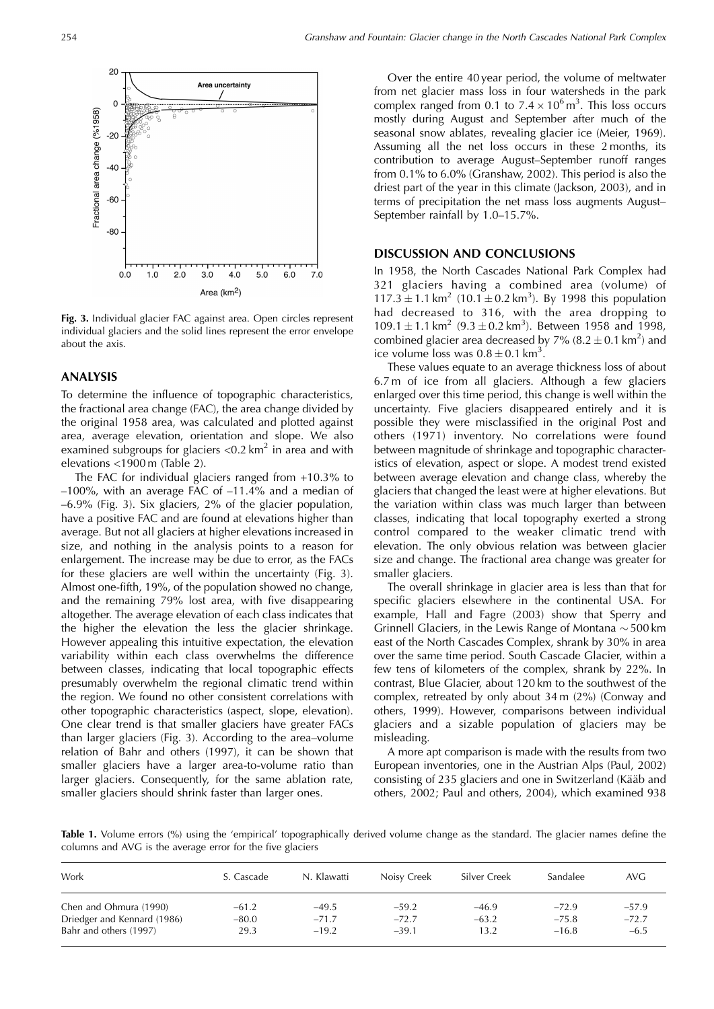

**Fig. 3.** Individual glacier FAC against area. Open circles represent individual glaciers and the solid lines represent the error envelope about the axis.

### **ANALYSIS**

To determine the influence of topographic characteristics, the fractional area change (FAC), the area change divided by the original 1958 area, was calculated and plotted against area, average elevation, orientation and slope. We also examined subgroups for glaciers  $< 0.2$  km<sup>2</sup> in area and with elevations <1900 m (Table 2).

The FAC for individual glaciers ranged from +10.3% to –100%, with an average FAC of –11.4% and a median of –6.9% (Fig. 3). Six glaciers, 2% of the glacier population, have a positive FAC and are found at elevations higher than average. But not all glaciers at higher elevations increased in size, and nothing in the analysis points to a reason for enlargement. The increase may be due to error, as the FACs for these glaciers are well within the uncertainty (Fig. 3). Almost one-fifth, 19%, of the population showed no change, and the remaining 79% lost area, with five disappearing altogether. The average elevation of each class indicates that the higher the elevation the less the glacier shrinkage. However appealing this intuitive expectation, the elevation variability within each class overwhelms the difference between classes, indicating that local topographic effects presumably overwhelm the regional climatic trend within the region. We found no other consistent correlations with other topographic characteristics (aspect, slope, elevation). One clear trend is that smaller glaciers have greater FACs than larger glaciers (Fig. 3). According to the area–volume relation of Bahr and others (1997), it can be shown that smaller glaciers have a larger area-to-volume ratio than larger glaciers. Consequently, for the same ablation rate, smaller glaciers should shrink faster than larger ones.

Over the entire 40 year period, the volume of meltwater from net glacier mass loss in four watersheds in the park complex ranged from 0.1 to  $7.4 \times 10^6$  m<sup>3</sup>. This loss occurs mostly during August and September after much of the seasonal snow ablates, revealing glacier ice (Meier, 1969). Assuming all the net loss occurs in these 2 months, its contribution to average August–September runoff ranges from 0.1% to 6.0% (Granshaw, 2002). This period is also the driest part of the year in this climate (Jackson, 2003), and in terms of precipitation the net mass loss augments August– September rainfall by 1.0–15.7%.

#### **DISCUSSION AND CONCLUSIONS**

In 1958, the North Cascades National Park Complex had 321 glaciers having a combined area (volume) of  $117.3 \pm 1.1 \text{ km}^2$  (10.1  $\pm$  0.2 km<sup>3</sup>). By 1998 this population had decreased to 316, with the area dropping to  $109.1 \pm 1.1$  km<sup>2</sup> (9.3  $\pm$  0.2 km<sup>3</sup>). Between 1958 and 1998, combined glacier area decreased by  $7\%$  (8.2  $\pm$  0.1 km<sup>2</sup>) and ice volume loss was  $0.8 \pm 0.1$  km<sup>3</sup>.

These values equate to an average thickness loss of about 6.7 m of ice from all glaciers. Although a few glaciers enlarged over this time period, this change is well within the uncertainty. Five glaciers disappeared entirely and it is possible they were misclassified in the original Post and others (1971) inventory. No correlations were found between magnitude of shrinkage and topographic characteristics of elevation, aspect or slope. A modest trend existed between average elevation and change class, whereby the glaciers that changed the least were at higher elevations. But the variation within class was much larger than between classes, indicating that local topography exerted a strong control compared to the weaker climatic trend with elevation. The only obvious relation was between glacier size and change. The fractional area change was greater for smaller glaciers.

The overall shrinkage in glacier area is less than that for specific glaciers elsewhere in the continental USA. For example, Hall and Fagre (2003) show that Sperry and Grinnell Glaciers, in the Lewis Range of Montana  $\sim$  500 km east of the North Cascades Complex, shrank by 30% in area over the same time period. South Cascade Glacier, within a few tens of kilometers of the complex, shrank by 22%. In contrast, Blue Glacier, about 120 km to the southwest of the complex, retreated by only about 34 m (2%) (Conway and others, 1999). However, comparisons between individual glaciers and a sizable population of glaciers may be misleading.

A more apt comparison is made with the results from two European inventories, one in the Austrian Alps (Paul, 2002) consisting of 235 glaciers and one in Switzerland (Kääb and others, 2002; Paul and others, 2004), which examined 938

**Table 1.** Volume errors (%) using the 'empirical' topographically derived volume change as the standard. The glacier names define the columns and AVG is the average error for the five glaciers

| Work                                                  | S. Cascade         | N. Klawatti        | Noisy Creek        | Silver Creek       | Sandalee           | AVG.               |
|-------------------------------------------------------|--------------------|--------------------|--------------------|--------------------|--------------------|--------------------|
| Chen and Ohmura (1990)<br>Driedger and Kennard (1986) | $-61.2$<br>$-80.0$ | $-49.5$<br>$-71.7$ | $-59.2$<br>$-72.7$ | $-46.9$<br>$-63.2$ | $-72.9$<br>$-75.8$ | $-57.9$<br>$-72.7$ |
| Bahr and others (1997)                                | 29.3               | $-19.2$            | $-39.1$            | 13.2               | $-16.8$            | $-6.5$             |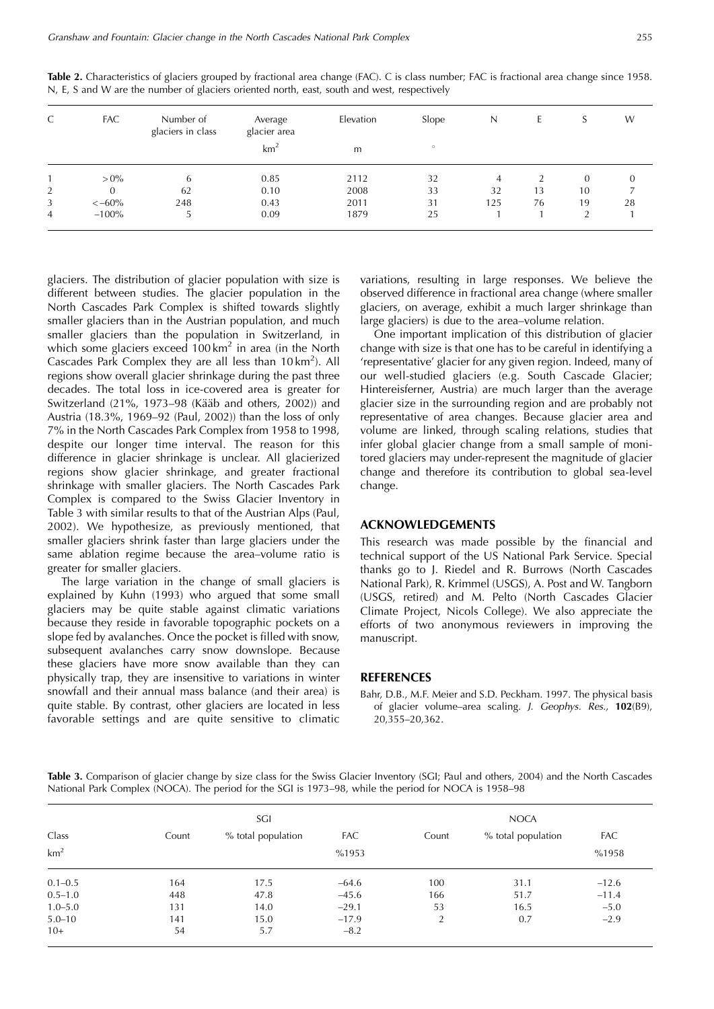| C | <b>FAC</b>     | Number of<br>glaciers in class | Average<br>glacier area | Elevation | Slope   | N   | Ŀ. | S                      | W  |
|---|----------------|--------------------------------|-------------------------|-----------|---------|-----|----|------------------------|----|
|   |                |                                | km <sup>2</sup>         | m         | $\circ$ |     |    |                        |    |
|   | $> 0\%$        | b                              | 0.85                    | 2112      | 32      | 4   |    | $\overline{0}$         | 0  |
| 2 | $\overline{0}$ | 62                             | 0.10                    | 2008      | 33      | 32  | 13 | 10                     |    |
| 3 | $<-60%$        | 248                            | 0.43                    | 2011      | 31      | 125 | 76 | 19                     | 28 |
| 4 | $-100%$        | ر                              | 0.09                    | 1879      | 25      |     |    | $\mathbf{\Omega}$<br>∠ |    |

**Table 2.** Characteristics of glaciers grouped by fractional area change (FAC). C is class number; FAC is fractional area change since 1958. N, E, S and W are the number of glaciers oriented north, east, south and west, respectively

glaciers. The distribution of glacier population with size is different between studies. The glacier population in the North Cascades Park Complex is shifted towards slightly smaller glaciers than in the Austrian population, and much smaller glaciers than the population in Switzerland, in which some glaciers exceed  $100 \text{ km}^2$  in area (in the North Cascades Park Complex they are all less than  $10 \text{ km}^2$ ). All regions show overall glacier shrinkage during the past three decades. The total loss in ice-covered area is greater for Switzerland (21%, 1973–98 (Kääb and others,  $2002$ )) and Austria (18.3%, 1969–92 (Paul, 2002)) than the loss of only 7% in the North Cascades Park Complex from 1958 to 1998, despite our longer time interval. The reason for this difference in glacier shrinkage is unclear. All glacierized regions show glacier shrinkage, and greater fractional shrinkage with smaller glaciers. The North Cascades Park Complex is compared to the Swiss Glacier Inventory in Table 3 with similar results to that of the Austrian Alps (Paul, 2002). We hypothesize, as previously mentioned, that smaller glaciers shrink faster than large glaciers under the same ablation regime because the area–volume ratio is greater for smaller glaciers.

The large variation in the change of small glaciers is explained by Kuhn (1993) who argued that some small glaciers may be quite stable against climatic variations because they reside in favorable topographic pockets on a slope fed by avalanches. Once the pocket is filled with snow, subsequent avalanches carry snow downslope. Because these glaciers have more snow available than they can physically trap, they are insensitive to variations in winter snowfall and their annual mass balance (and their area) is quite stable. By contrast, other glaciers are located in less favorable settings and are quite sensitive to climatic variations, resulting in large responses. We believe the observed difference in fractional area change (where smaller glaciers, on average, exhibit a much larger shrinkage than large glaciers) is due to the area–volume relation.

One important implication of this distribution of glacier change with size is that one has to be careful in identifying a 'representative' glacier for any given region. Indeed, many of our well-studied glaciers (e.g. South Cascade Glacier; Hintereisferner, Austria) are much larger than the average glacier size in the surrounding region and are probably not representative of area changes. Because glacier area and volume are linked, through scaling relations, studies that infer global glacier change from a small sample of monitored glaciers may under-represent the magnitude of glacier change and therefore its contribution to global sea-level change.

#### **ACKNOWLEDGEMENTS**

This research was made possible by the financial and technical support of the US National Park Service. Special thanks go to J. Riedel and R. Burrows (North Cascades National Park), R. Krimmel (USGS), A. Post and W. Tangborn (USGS, retired) and M. Pelto (North Cascades Glacier Climate Project, Nicols College). We also appreciate the efforts of two anonymous reviewers in improving the manuscript.

## **REFERENCES**

Bahr, D.B., M.F. Meier and S.D. Peckham. 1997. The physical basis of glacier volume–area scaling. J. Geophys. Res., **102**(B9), 20,355–20,362.

Table 3. Comparison of glacier change by size class for the Swiss Glacier Inventory (SGI; Paul and others, 2004) and the North Cascades National Park Complex (NOCA). The period for the SGI is 1973–98, while the period for NOCA is 1958–98

| Class           | SGI   |                    |            |       | <b>NOCA</b>        |            |
|-----------------|-------|--------------------|------------|-------|--------------------|------------|
|                 | Count | % total population | <b>FAC</b> | Count | % total population | <b>FAC</b> |
| km <sup>2</sup> |       |                    | %1958      |       |                    |            |
| $0.1 - 0.5$     | 164   | 17.5               | $-64.6$    | 100   | 31.1               | $-12.6$    |
| $0.5 - 1.0$     | 448   | 47.8               | $-45.6$    | 166   | 51.7               | $-11.4$    |
| $1.0 - 5.0$     | 131   | 14.0               | $-29.1$    | 53    | 16.5               | $-5.0$     |
| $5.0 - 10$      | 141   | 15.0               | $-17.9$    | 2     | 0.7                | $-2.9$     |
| $10+$           | 54    | 5.7                | $-8.2$     |       |                    |            |